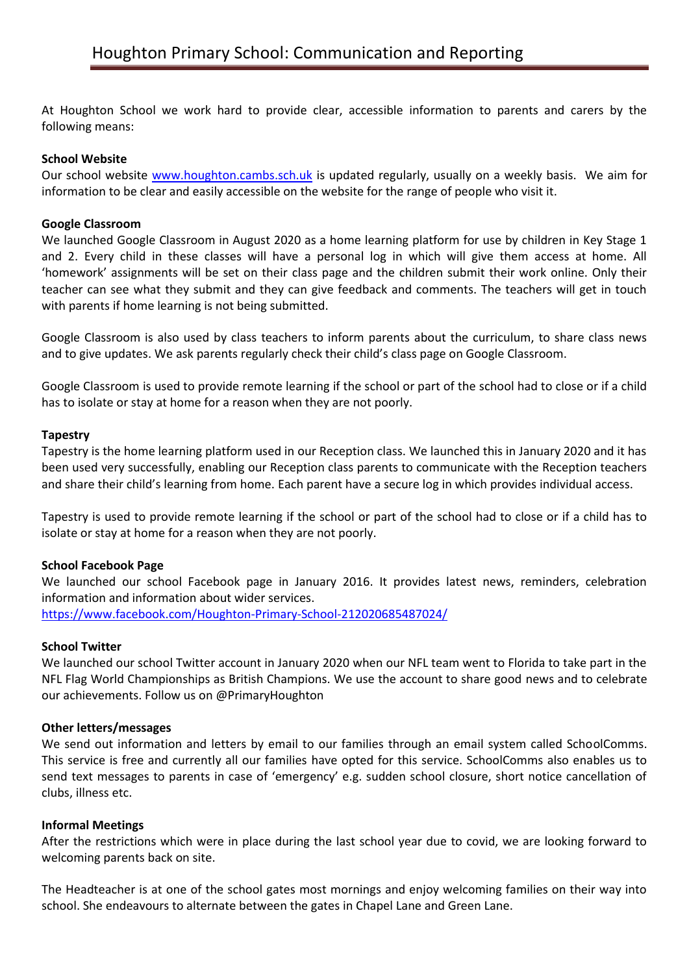At Houghton School we work hard to provide clear, accessible information to parents and carers by the following means:

### **School Website**

Our school website [www.houghton.cambs.sch.uk](http://www.houghton.cambs.sch.uk/) is updated regularly, usually on a weekly basis. We aim for information to be clear and easily accessible on the website for the range of people who visit it.

#### **Google Classroom**

We launched Google Classroom in August 2020 as a home learning platform for use by children in Key Stage 1 and 2. Every child in these classes will have a personal log in which will give them access at home. All 'homework' assignments will be set on their class page and the children submit their work online. Only their teacher can see what they submit and they can give feedback and comments. The teachers will get in touch with parents if home learning is not being submitted.

Google Classroom is also used by class teachers to inform parents about the curriculum, to share class news and to give updates. We ask parents regularly check their child's class page on Google Classroom.

Google Classroom is used to provide remote learning if the school or part of the school had to close or if a child has to isolate or stay at home for a reason when they are not poorly.

### **Tapestry**

Tapestry is the home learning platform used in our Reception class. We launched this in January 2020 and it has been used very successfully, enabling our Reception class parents to communicate with the Reception teachers and share their child's learning from home. Each parent have a secure log in which provides individual access.

Tapestry is used to provide remote learning if the school or part of the school had to close or if a child has to isolate or stay at home for a reason when they are not poorly.

#### **School Facebook Page**

We launched our school Facebook page in January 2016. It provides latest news, reminders, celebration information and information about wider services. <https://www.facebook.com/Houghton-Primary-School-212020685487024/>

#### **School Twitter**

We launched our school Twitter account in January 2020 when our NFL team went to Florida to take part in the NFL Flag World Championships as British Champions. We use the account to share good news and to celebrate our achievements. Follow us on @PrimaryHoughton

#### **Other letters/messages**

We send out information and letters by email to our families through an email system called SchoolComms. This service is free and currently all our families have opted for this service. SchoolComms also enables us to send text messages to parents in case of 'emergency' e.g. sudden school closure, short notice cancellation of clubs, illness etc.

#### **Informal Meetings**

After the restrictions which were in place during the last school year due to covid, we are looking forward to welcoming parents back on site.

The Headteacher is at one of the school gates most mornings and enjoy welcoming families on their way into school. She endeavours to alternate between the gates in Chapel Lane and Green Lane.